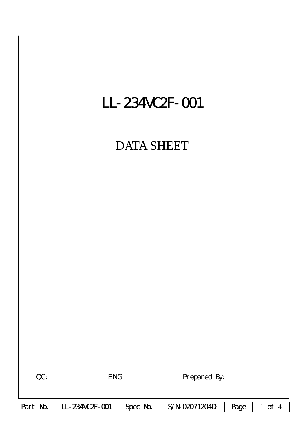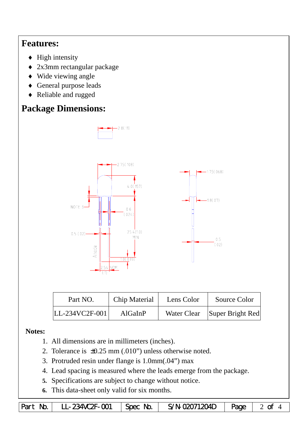## **Features:**

- $\blacklozenge$  High intensity
- ♦ 2x3mm rectangular package
- ♦ Wide viewing angle
- ♦ General purpose leads
- ♦ Reliable and rugged

# **Package Dimensions:**



| Part NO.           | Chip Material | Lens Color | Source Color                 |  |
|--------------------|---------------|------------|------------------------------|--|
| $ LL-234VC2F-001 $ | AlGaInP       |            | Water Clear Super Bright Red |  |

### **Notes:**

- 1. All dimensions are in millimeters (inches).
- 2. Tolerance is ±0.25 mm (.010") unless otherwise noted.
- 3. Protruded resin under flange is 1.0mm(.04") max
- 4. Lead spacing is measured where the leads emerge from the package.
- **5.** Specifications are subject to change without notice.
- **6.** This data-sheet only valid for six months.

|  | Part No.   LL-234VC2F-001   Spec No. |  | S/N-02071204D $\vert$ Page $\vert$ 2 of 4 |  |  |
|--|--------------------------------------|--|-------------------------------------------|--|--|
|--|--------------------------------------|--|-------------------------------------------|--|--|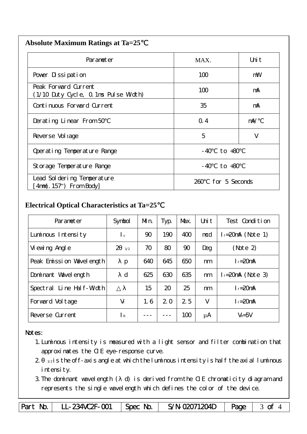| <b>Absolute Maximum Ratings at Ta=25</b> |  |
|------------------------------------------|--|
|                                          |  |

| Parameter                                                    | MAX.                  | Uni t      |
|--------------------------------------------------------------|-----------------------|------------|
| Pover Dissipation                                            | 100                   | mW         |
| Peak Forward Current<br>(1/10 Duty Cycle, 0.1ms Pulse Width) | 100                   | mA         |
| Continuous Forward Current                                   | 35                    | mA         |
| Derating Linear From 50                                      | Q.4                   | $m\lambda$ |
| Reverse Vol tage                                             | 5                     | V          |
| Operating Temperature Range                                  | to $+80$<br>- 40      |            |
| Storage Temperature Range                                    | $-40$ to $+80$        |            |
| Lead Sol dering Temperature<br>4nm(. 157") From Body         | for 5 Seconds<br>260. |            |

#### **Electrical Optical Characteristics at Ta=25**℃

| Parameter                   | Symbol                    | Mn. | Typ. | Max. | Uni t | Test Condition         |
|-----------------------------|---------------------------|-----|------|------|-------|------------------------|
| Luminous Intensity          | $\mathsf{L}_{\mathsf{v}}$ | 90  | 190  | 400  | mcd   | $l_f = 20$ mA (Note 1) |
| Vi ewing Angl e             | $\overline{2}$<br>1/2     | 70  | 80   | 90   | Deg   | (Note 2)               |
| Peak Emission Wavelength    | p                         | 640 | 645  | 650  | nm    | $I_f = 20$ mA          |
| Dominant Wavelength         | $\mathbf d$               | 625 | 630  | 635  | nm    | $l_f = 20$ mA (Note 3) |
| Line Half-Width<br>Spectral |                           | 15  | 20   | 25   | nm    | $I_f = 20$ mA          |
| Forward Voltage             | $V_f$                     | 1.6 | 2.0  | 25   | V     | $I_f = 20$ mA          |
| Reverse Current             | $\mathsf{R}$              |     |      | 100  | μA    | $V_R = 5V$             |

#### Notes:

- 1.Luminous intensity is measured with a light sensor and filter combination that approximates the CIE eye-response curve.
- $2 1/2$  is the off-axis angle at which the luminous intensity is half the axial luminous i ntensity.
- 3.The dominant wavelength ( d) is derived from the CIE chromaticity diagram and represents the single wavelength which defines the color of the device.

Part No. | LL-234VC2F-001 | Spec No. | S/N-02071204D | Page | 3 of 4